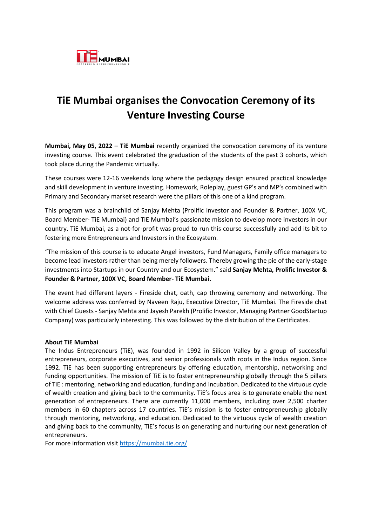

## **TiE Mumbai organises the Convocation Ceremony of its Venture Investing Course**

**Mumbai, May 05, 2022** – **TiE Mumbai** recently organized the convocation ceremony of its venture investing course. This event celebrated the graduation of the students of the past 3 cohorts, which took place during the Pandemic virtually.

These courses were 12-16 weekends long where the pedagogy design ensured practical knowledge and skill development in venture investing. Homework, Roleplay, guest GP's and MP's combined with Primary and Secondary market research were the pillars of this one of a kind program.

This program was a brainchild of Sanjay Mehta (Prolific Investor and Founder & Partner, 100X VC, Board Member- TiE Mumbai) and TiE Mumbai's passionate mission to develop more investors in our country. TiE Mumbai, as a not-for-profit was proud to run this course successfully and add its bit to fostering more Entrepreneurs and Investors in the Ecosystem.

"The mission of this course is to educate Angel investors, Fund Managers, Family office managers to become lead investors rather than being merely followers. Thereby growing the pie of the early-stage investments into Startups in our Country and our Ecosystem." said **Sanjay Mehta, Prolific Investor & Founder & Partner, 100X VC, Board Member- TiE Mumbai.**

The event had different layers - Fireside chat, oath, cap throwing ceremony and networking. The welcome address was conferred by Naveen Raju, Executive Director, TiE Mumbai. The Fireside chat with Chief Guests - Sanjay Mehta and Jayesh Parekh (Prolific Investor, Managing Partner GoodStartup Company) was particularly interesting. This was followed by the distribution of the Certificates.

## **About TiE Mumbai**

The Indus Entrepreneurs (TiE), was founded in 1992 in Silicon Valley by a group of successful entrepreneurs, corporate executives, and senior professionals with roots in the Indus region. Since 1992. TiE has been supporting entrepreneurs by offering education, mentorship, networking and funding opportunities. The mission of TiE is to foster entrepreneurship globally through the 5 pillars of TiE : mentoring, networking and education, funding and incubation. Dedicated to the virtuous cycle of wealth creation and giving back to the community. TiE's focus area is to generate enable the next generation of entrepreneurs. There are currently 11,000 members, including over 2,500 charter members in 60 chapters across 17 countries. TiE's mission is to foster entrepreneurship globally through mentoring, networking, and education. Dedicated to the virtuous cycle of wealth creation and giving back to the community, TiE's focus is on generating and nurturing our next generation of entrepreneurs.

For more information visi[t https://mumbai.tie.org/](https://mumbai.tie.org/)